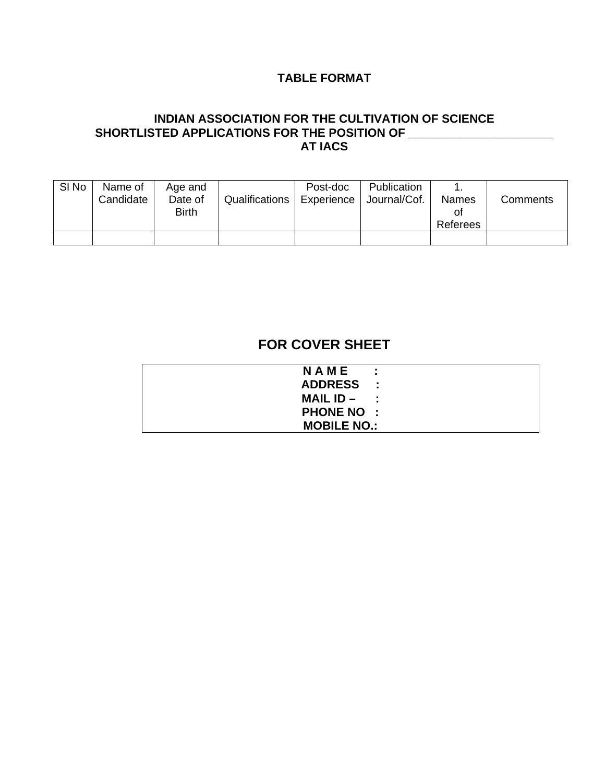## **TABLE FORMAT**

### **INDIAN ASSOCIATION FOR THE CULTIVATION OF SCIENCE SHORTLISTED APPLICATIONS FOR THE POSITION OF \_\_\_\_\_\_\_\_\_\_\_\_\_\_\_\_\_\_\_\_\_\_ AT IACS**

| SI <sub>No</sub> | Name of<br>Candidate | Age and<br>Date of<br><b>Birth</b> | Qualifications | Post-doc<br>Experience | Publication<br>Journal/Cof. | <b>Names</b><br>Οl<br>Referees | Comments |
|------------------|----------------------|------------------------------------|----------------|------------------------|-----------------------------|--------------------------------|----------|
|                  |                      |                                    |                |                        |                             |                                |          |

# **FOR COVER SHEET**

| NAME               | ÷ |
|--------------------|---|
| ADDRESS :          |   |
| MAIL $ID -$ :      |   |
| <b>PHONE NO:</b>   |   |
| <b>MOBILE NO.:</b> |   |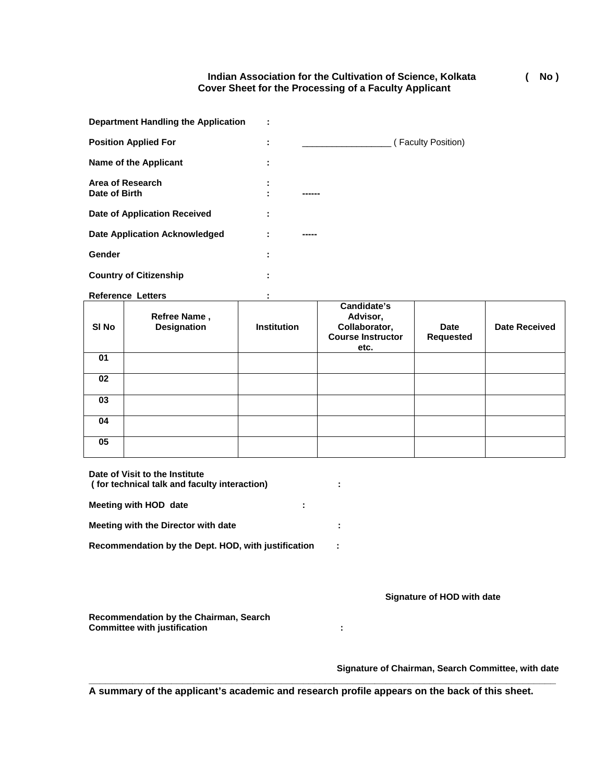**Indian Association for the Cultivation of Science, Kolkata ( No ) Cover Sheet for the Processing of a Faculty Applicant** 

| Department Handling the Application  |                          |       |                    |
|--------------------------------------|--------------------------|-------|--------------------|
| <b>Position Applied For</b>          | ٠<br>$\blacksquare$      |       | (Faculty Position) |
| Name of the Applicant                | ٠<br>٠                   |       |                    |
| Area of Research<br>Date of Birth    | ٠<br>$\blacksquare$<br>٠ |       |                    |
| Date of Application Received         | ٠<br>$\blacksquare$      |       |                    |
| <b>Date Application Acknowledged</b> |                          | ----- |                    |
| Gender                               | ٠<br>٠                   |       |                    |
| <b>Country of Citizenship</b>        | ٠                        |       |                    |

Reference Letters **: 1999** :

| SI No | Refree Name,<br><b>Designation</b> | <b>Institution</b> | Candidate's<br>Advisor,<br>Collaborator,<br><b>Course Instructor</b><br>etc. | <b>Date</b><br><b>Requested</b> | <b>Date Received</b> |
|-------|------------------------------------|--------------------|------------------------------------------------------------------------------|---------------------------------|----------------------|
| 01    |                                    |                    |                                                                              |                                 |                      |
| 02    |                                    |                    |                                                                              |                                 |                      |
| 03    |                                    |                    |                                                                              |                                 |                      |
| 04    |                                    |                    |                                                                              |                                 |                      |
| 05    |                                    |                    |                                                                              |                                 |                      |

| Date of Visit to the Institute<br>(for technical talk and faculty interaction) | ۰.                                                                                                      |
|--------------------------------------------------------------------------------|---------------------------------------------------------------------------------------------------------|
| Meeting with HOD date<br>÷                                                     |                                                                                                         |
| Meeting with the Director with date                                            | ÷                                                                                                       |
| Recommendation by the Dept. HOD, with justification                            | ÷                                                                                                       |
| Recommendation by the Chairman, Search<br><b>Committee with justification</b>  | Signature of HOD with date<br>٠<br>$\blacksquare$<br>Signature of Chairman, Search Committee, with date |

**A summary of the applicant's academic and research profile appears on the back of this sheet.**

**\_\_\_\_\_\_\_\_\_\_\_\_\_\_\_\_\_\_\_\_\_\_\_\_\_\_\_\_\_\_\_\_\_\_\_\_\_\_\_\_\_\_\_\_\_\_\_\_\_\_\_\_\_\_\_\_\_\_\_\_\_\_\_\_\_\_\_\_\_\_\_\_\_\_\_\_\_\_\_\_\_\_\_\_\_**